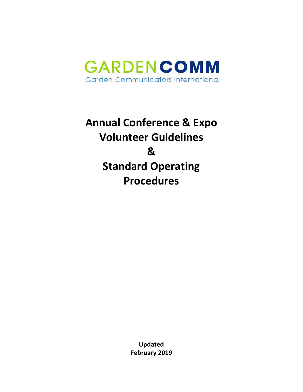

# **Annual Conference & Expo Volunteer Guidelines & Standard Operating Procedures**

**Updated February 2019**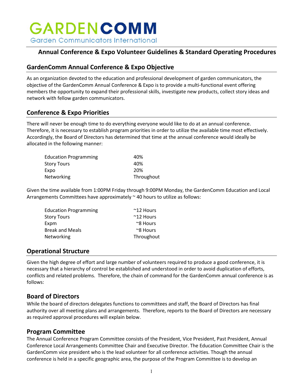### **Annual Conference & Expo Volunteer Guidelines & Standard Operating Procedures**

#### **GardenComm Annual Conference & Expo Objective**

As an organization devoted to the education and professional development of garden communicators, the objective of the GardenComm Annual Conference & Expo is to provide a multi-functional event offering members the opportunity to expand their professional skills, investigate new products, collect story ideas and network with fellow garden communicators.

#### **Conference & Expo Priorities**

There will never be enough time to do everything everyone would like to do at an annual conference. Therefore, it is necessary to establish program priorities in order to utilize the available time most effectively. Accordingly, the Board of Directors has determined that time at the annual conference would ideally be allocated in the following manner:

| 40%        |
|------------|
| 40%        |
| 20%        |
| Throughout |
|            |

Given the time available from 1:00PM Friday through 9:00PM Monday, the GardenComm Education and Local Arrangements Committees have approximately  $\sim$  40 hours to utilize as follows:

| <b>Education Programming</b> | $~^{\sim}$ 12 Hours |
|------------------------------|---------------------|
| Story Tours                  | $~^{\sim}$ 12 Hours |
| Expm                         | $\approx$ 8 Hours   |
| <b>Break and Meals</b>       | $\approx$ 8 Hours   |
| Networking                   | Throughout          |

#### **Operational Structure**

Given the high degree of effort and large number of volunteers required to produce a good conference, it is necessary that a hierarchy of control be established and understood in order to avoid duplication of efforts, conflicts and related problems. Therefore, the chain of command for the GardenComm annual conference is as follows:

#### **Board of Directors**

While the board of directors delegates functions to committees and staff, the Board of Directors has final authority over all meeting plans and arrangements. Therefore, reports to the Board of Directors are necessary as required approval procedures will explain below.

#### **Program Committee**

The Annual Conference Program Committee consists of the President, Vice President, Past President, Annual Conference Local Arrangements Committee Chair and Executive Director. The Education Committee Chair is the GardenComm vice president who is the lead volunteer for all conference activities. Though the annual conference is held in a specific geographic area, the purpose of the Program Committee is to develop an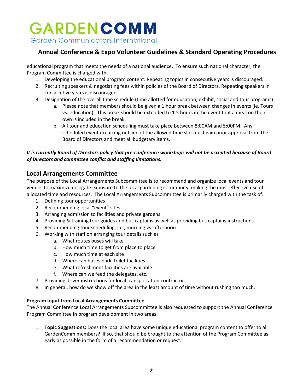#### **Annual Conference & Expo Volunteer Guidelines & Standard Operating Procedures**

educational program that meets the needs of a national audience. To ensure such national character, the Program Committee is charged with:

- 1. Developing the educational program content. Repeating topics in consecutive years is discouraged.
- 2. Recruiting speakers & negotiating fees within policies of the Board of Directors. Repeating speakers in consecutive years is discouraged.
- 3. Designation of the overall time schedule (time allotted for education, exhibit, social and tour programs)
	- a. Please note that members should be given a 1 hour break between changes in events (ie. Tours vs. education). This break should be extended to 1.5 hours in the event that a meal on their own is included in the break.
	- b. All tour and education scheduling must take place between 8:00AM and 5:00PM. Any scheduled event occurring outside of the allowed time slot must gain prior approval from the Board of Directors and meet all budgetary items.

#### *It is currently Board of Directors policy that pre-conference workshops will not be accepted because of Board of Directors and committee conflict and staffing limitations.*

#### **Local Arrangements Committee**

The purpose of the Local Arrangements Subcommittee is to recommend and organize local events and tour venues to maximize delegate exposure to the local gardening community, making the most effective use of allocated time and resources. The Local Arrangements Subcommittee is primarily charged with the task of:

- 1. Defining tour opportunities
- 2. Recommending local "event" sites
- 3. Arranging admission to facilities and private gardens
- 4. Providing & training tour guides and bus captains as well as providing bus captains instructions.
- 5. Recommending tour scheduling, i.e., morning vs. afternoon
- 6. Working with staff on arranging tour details such as
	- a. What routes buses will take
	- b. How much time to get from place to place
	- c. How much time at each site
	- d. Where can buses park, toilet facilities
	- e. What refreshment facilities are available
	- f. Where can we feed the delegates, etc.
- 7. Providing driver instructions for local transportation contractor.
- 8. In general, how do we show off the area in the least amount of time without rushing too much.

#### **Program Input from Local Arrangements Committee**

The Annual Conference Local Arrangements Subcommittee is also requested to support the Annual Conference Program Committee in program development in two areas:

1. **Topic Suggestions:** Does the local area have some unique educational program content to offer to all GardenComm members? If so, that should be brought to the attention of the Program Committee as early as possible in the form of a recommendation or request.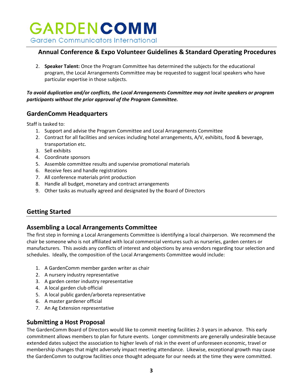#### **Annual Conference & Expo Volunteer Guidelines & Standard Operating Procedures**

2. **Speaker Talent:** Once the Program Committee has determined the subjects for the educational program, the Local Arrangements Committee may be requested to suggest local speakers who have particular expertise in those subjects.

#### *To avoid duplication and/or conflicts, the Local Arrangements Committee may not invite speakers or program participants without the prior approval of the Program Committee.*

#### **GardenComm Headquarters**

Staff is tasked to:

- 1. Support and advise the Program Committee and Local Arrangements Committee
- 2. Contract for all facilities and services including hotel arrangements, A/V, exhibits, food & beverage, transportation etc.
- 3. Sell exhibits
- 4. Coordinate sponsors
- 5. Assemble committee results and supervise promotional materials
- 6. Receive fees and handle registrations
- 7. All conference materials print production
- 8. Handle all budget, monetary and contract arrangements
- 9. Other tasks as mutually agreed and designated by the Board of Directors

#### **Getting Started**

#### **Assembling a Local Arrangements Committee**

The first step in forming a Local Arrangements Committee is identifying a local chairperson. We recommend the chair be someone who is not affiliated with local commercial ventures such as nurseries, garden centers or manufacturers. This avoids any conflicts of interest and objections by area vendors regarding tour selection and schedules. Ideally, the composition of the Local Arrangements Committee would include:

- 1. A GardenComm member garden writer as chair
- 2. A nursery industry representative
- 3. A garden center industry representative
- 4. A local garden club official
- 5. A local public garden/arboreta representative
- 6. A master gardener official
- 7. An Ag Extension representative

#### **Submitting a Host Proposal**

The GardenComm Board of Directors would like to commit meeting facilities 2-3 years in advance. This early commitment allows members to plan for future events. Longer commitments are generally undesirable because extended dates subject the association to higher levels of risk in the event of unforeseen economic, travel or membership changes that might adversely impact meeting attendance. Likewise, exceptional growth may cause the GardenComm to outgrow facilities once thought adequate for our needs at the time they were committed.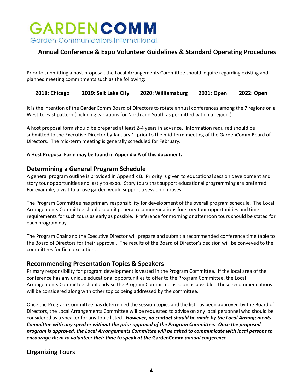### **Annual Conference & Expo Volunteer Guidelines & Standard Operating Procedures**

Prior to submitting a host proposal, the Local Arrangements Committee should inquire regarding existing and planned meeting commitments such as the following:

**2018: Chicago 2019: Salt Lake City 2020: Williamsburg 2021: Open 2022: Open**

It is the intention of the GardenComm Board of Directors to rotate annual conferences among the 7 regions on a West-to-East pattern (including variations for North and South as permitted within a region.)

A host proposal form should be prepared at least 2-4 years in advance. Information required should be submitted to the Executive Director by January 1, prior to the mid-term meeting of the GardenComm Board of Directors. The mid-term meeting is generally scheduled for February.

#### **A Host Proposal Form may be found in Appendix A of this document.**

#### **Determining a General Program Schedule**

A general program outline is provided in Appendix B. Priority is given to educational session development and story tour opportunities and lastly to expo. Story tours that support educational programming are preferred. For example, a visit to a rose garden would support a session on roses.

The Program Committee has primary responsibility for development of the overall program schedule. The Local Arrangements Committee should submit general recommendations for story tour opportunities and time requirements for such tours as early as possible. Preference for morning or afternoon tours should be stated for each program day.

The Program Chair and the Executive Director will prepare and submit a recommended conference time table to the Board of Directors for their approval. The results of the Board of Director's decision will be conveyed to the committees for final execution.

#### **Recommending Presentation Topics & Speakers**

Primary responsibility for program development is vested in the Program Committee. If the local area of the conference has any unique educational opportunities to offer to the Program Committee, the Local Arrangements Committee should advise the Program Committee as soon as possible. These recommendations will be considered along with other topics being addressed by the committee.

Once the Program Committee has determined the session topics and the list has been approved by the Board of Directors, the Local Arrangements Committee will be requested to advise on any local personnel who should be considered as a speaker for any topic listed. *However, no contact should be made by the Local Arrangements Committee with any speaker without the prior approval of the Program Committee. Once the proposed program is approved, the Local Arrangements Committee will be asked to communicate with local persons to encourage them to volunteer their time to speak at the* **GardenComm** *annual conference.*

### **Organizing Tours**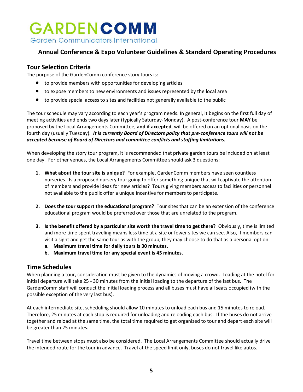#### **Annual Conference & Expo Volunteer Guidelines & Standard Operating Procedures**

#### **Tour Selection Criteria**

The purpose of the GardenComm conference story tours is:

- to provide members with opportunities for developing articles
- to expose members to new environments and issues represented by the local area
- to provide special access to sites and facilities not generally available to the public

The tour schedule may vary according to each year's program needs. In general, it begins on the first full day of meeting activities and ends two days later (typically Saturday-Monday). A post-conference tour **MAY** be proposed by the Local Arrangements Committee, **and if accepted**, will be offered on an optional basis on the fourth day (usually Tuesday). *It is currently Board of Directors policy that pre-conference tours will not be accepted because of Board of Directors and committee conflicts and staffing limitations.*

When developing the story tour program, it is recommended that private garden tours be included on at least one day. For other venues, the Local Arrangements Committee should ask 3 questions:

- **1. What about the tour site is unique?** For example, GardenComm members have seen countless nurseries. Is a proposed nursery tour going to offer something unique that will captivate the attention of members and provide ideas for new articles? Tours giving members access to facilities or personnel not available to the public offer a unique incentive for members to participate.
- **2. Does the tour support the educational program?** Tour sites that can be an extension of the conference educational program would be preferred over those that are unrelated to the program.
- **3. Is the benefit offered by a particular site worth the travel time to get there?** Obviously, time is limited and more time spent traveling means less time at a site or fewer sites we can see. Also, if members can visit a sight and get the same tour as with the group, they may choose to do that as a personal option.
	- **a. Maximum travel time for daily tours is 30 minutes.**
	- **b. Maximum travel time for any special event is 45 minutes.**

#### **Time Schedules**

When planning a tour, consideration must be given to the dynamics of moving a crowd. Loading at the hotel for initial departure will take 25 - 30 minutes from the initial loading to the departure of the last bus. The GardenComm staff will conduct the initial loading process and all buses must have all seats occupied (with the possible exception of the very last bus).

At each intermediate site, scheduling should allow 10 minutes to unload each bus and 15 minutes to reload. Therefore, 25 minutes at each stop is required for unloading and reloading each bus. If the buses do not arrive together and reload at the same time, the total time required to get organized to tour and depart each site will be greater than 25 minutes.

Travel time between stops must also be considered. The Local Arrangements Committee should actually drive the intended route for the tour in advance. Travel at the speed limit only, buses do not travel like autos.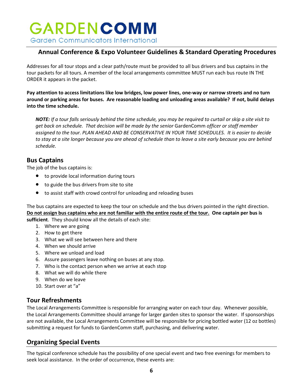#### **Annual Conference & Expo Volunteer Guidelines & Standard Operating Procedures**

Addresses for all tour stops and a clear path/route must be provided to all bus drivers and bus captains in the tour packets for all tours. A member of the local arrangements committee MUST run each bus route IN THE ORDER it appears in the packet.

**Pay attention to access limitations like low bridges, low power lines, one-way or narrow streets and no turn around or parking areas for buses. Are reasonable loading and unloading areas available? If not, build delays into the time schedule.**

*NOTE: If a tour falls seriously behind the time schedule, you may be required to curtail or skip a site visit to get back on schedule. That decision will be made by the senior* GardenComm *officer or staff member assigned to the tour. PLAN AHEAD AND BE CONSERVATIVE IN YOUR TIME SCHEDULES. It is easier to decide to stay at a site longer because you are ahead of schedule than to leave a site early because you are behind schedule.*

#### **Bus Captains**

The job of the bus captains is:

- to provide local information during tours
- to guide the bus drivers from site to site
- to assist staff with crowd control for unloading and reloading buses

The bus captains are expected to keep the tour on schedule and the bus drivers pointed in the right direction. **Do not assign bus captains who are not familiar with the entire route of the tour. One captain per bus is** 

**sufficient**. They should know all the details of each site:

- 1. Where we are going
- 2. How to get there
- 3. What we will see between here and there
- 4. When we should arrive
- 5. Where we unload and load
- 6. Assure passengers leave nothing on buses at any stop.
- 7. Who is the contact person when we arrive at each stop
- 8. What we will do while there
- 9. When do we leave
- 10. Start over at "a"

#### **Tour Refreshments**

The Local Arrangements Committee is responsible for arranging water on each tour day. Whenever possible, the Local Arrangements Committee should arrange for larger garden sites to sponsor the water. If sponsorships are not available, the Local Arrangements Committee will be responsible for pricing bottled water (12 oz bottles) submitting a request for funds to GardenComm staff, purchasing, and delivering water.

#### **Organizing Special Events**

The typical conference schedule has the possibility of one special event and two free evenings for members to seek local assistance. In the order of occurrence, these events are: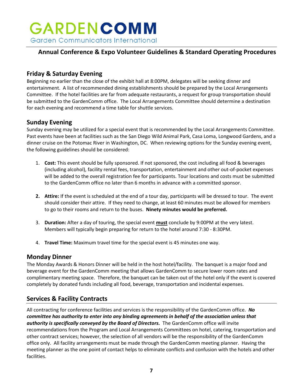### **Annual Conference & Expo Volunteer Guidelines & Standard Operating Procedures**

#### **Friday & Saturday Evening**

Beginning no earlier than the close of the exhibit hall at 8:00PM, delegates will be seeking dinner and entertainment. A list of recommended dining establishments should be prepared by the Local Arrangements Committee. If the hotel facilities are far from adequate restaurants, a request for group transportation should be submitted to the GardenComm office. The Local Arrangements Committee should determine a destination for each evening and recommend a time table for shuttle services.

#### **Sunday Evening**

Sunday evening may be utilized for a special event that is recommended by the Local Arrangements Committee. Past events have been at facilities such as the San Diego Wild Animal Park, Casa Loma, Longwood Gardens, and a dinner cruise on the Potomac River in Washington, DC. When reviewing options for the Sunday evening event, the following guidelines should be considered:

- 1. **Cost:** This event should be fully sponsored. If not sponsored, the cost including all food & beverages (including alcohol), facility rental fees, transportation, entertainment and other out-of-pocket expenses will be added to the overall registration fee for participants. Tour locations and costs must be submitted to the GardenComm office no later than 6 months in advance with a committed sponsor.
- **2. Attire:** If the event is scheduled at the end of a tour day, participants will be dressed to tour. The event should consider their attire. If they need to change, at least 60 minutes must be allowed for members to go to their rooms and return to the buses. **Ninety minutes would be preferred.**
- 3. **Duration:** After a day of touring, the special event **must** conclude by 9:00PM at the very latest. Members will typically begin preparing for return to the hotel around 7:30 - 8:30PM.
- 4. **Travel Time:** Maximum travel time for the special event is 45 minutes one way.

#### **Monday Dinner**

The Monday Awards & Honors Dinner will be held in the host hotel/facility. The banquet is a major food and beverage event for the GardenComm meeting that allows GardenComm to secure lower room rates and complimentary meeting space. Therefore, the banquet can be taken out of the hotel only if the event is covered completely by donated funds including all food, beverage, transportation and incidental expenses.

#### **Services & Facility Contracts**

All contracting for conference facilities and services is the responsibility of the GardenComm office. *No committee has authority to enter into any binding agreements in behalf of the association unless that authority is specifically conveyed by the Board of Directors.* The GardenComm office will invite recommendations from the Program and Local Arrangements Committees on hotel, catering, transportation and other contract services; however, the selection of all vendors will be the responsibility of the GardenComm office only. All facility arrangements must be made through the GardenComm meeting planner. Having the meeting planner as the one point of contact helps to eliminate conflicts and confusion with the hotels and other facilities.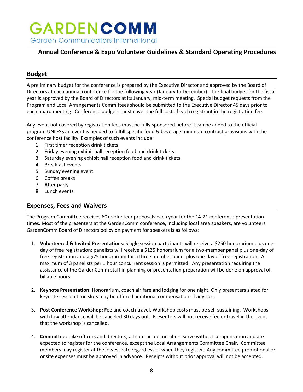### **Annual Conference & Expo Volunteer Guidelines & Standard Operating Procedures**

#### **Budget**

A preliminary budget for the conference is prepared by the Executive Director and approved by the Board of Directors at each annual conference for the following year (January to December). The final budget for the fiscal year is approved by the Board of Directors at its January, mid-term meeting. Special budget requests from the Program and Local Arrangements Committees should be submitted to the Executive Director 45 days prior to each board meeting. Conference budgets must cover the full cost of each registrant in the registration fee.

Any event not covered by registration fees must be fully sponsored before it can be added to the official program UNLESS an event is needed to fulfill specific food & beverage minimum contract provisions with the conference host facility. Examples of such events include:

- 1. First timer reception drink tickets
- 2. Friday evening exhibit hall reception food and drink tickets
- 3. Saturday evening exhibit hall reception food and drink tickets
- 4. Breakfast events
- 5. Sunday evening event
- 6. Coffee breaks
- 7. After party
- 8. Lunch events

#### **Expenses, Fees and Waivers**

The Program Committee receives 60+ volunteer proposals each year for the 14-21 conference presentation times. Most of the presenters at the GardenComm conference, including local area speakers, are volunteers. GardenComm Board of Directors policy on payment for speakers is as follows:

- 1. **Volunteered & Invited Presentations:** Single session participants will receive a \$250 honorarium plus oneday of free registration; panelists will receive a \$125 honorarium for a two-member panel plus one-day of free registration and a \$75 honorarium for a three member panel plus one-day of free registration. A maximum of 3 panelists per 1 hour concurrent session is permitted. Any presentation requiring the assistance of the GardenComm staff in planning or presentation preparation will be done on approval of billable hours.
- 2. **Keynote Presentation:** Honorarium, coach air fare and lodging for one night. Only presenters slated for keynote session time slots may be offered additional compensation of any sort.
- 3. **Post Conference Workshop: F**ee and coach travel. Workshop costs must be self sustaining. Workshops with low attendance will be canceled 30 days out. Presenters will not receive fee or travel in the event that the workshop is cancelled.
- 4. **Committee:** Like officers and directors, all committee members serve without compensation and are expected to register for the conference, except the Local Arrangements Committee Chair. Committee members may register at the lowest rate regardless of when they register. Any committee promotional or onsite expenses must be approved in advance. Receipts without prior approval will not be accepted.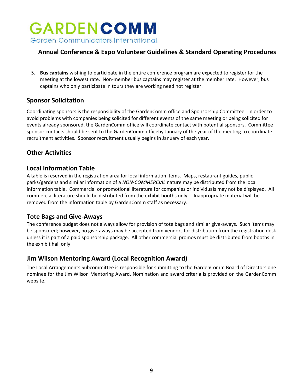#### **Annual Conference & Expo Volunteer Guidelines & Standard Operating Procedures**

5. **Bus captains** wishing to participate in the entire conference program are expected to register for the meeting at the lowest rate. Non-member bus captains may register at the member rate. However, bus captains who only participate in tours they are working need not register.

#### **Sponsor Solicitation**

Coordinating sponsors is the responsibility of the GardenComm office and Sponsorship Committee. In order to avoid problems with companies being solicited for different events of the same meeting or being solicited for events already sponsored, the GardenComm office will coordinate contact with potential sponsors. Committee sponsor contacts should be sent to the GardenComm officeby January of the year of the meeting to coordinate recruitment activities. Sponsor recruitment usually begins in January of each year.

#### **Other Activities**

#### **Local Information Table**

A table is reserved in the registration area for local information items. Maps, restaurant guides, public parks/gardens and similar information of a *NON-COMMERCIAL* nature may be distributed from the local information table. Commercial or promotional literature for companies or individuals may not be displayed. All commercial literature should be distributed from the exhibit booths only. Inappropriate material will be removed from the information table by GardenComm staff as necessary.

#### **Tote Bags and Give-Aways**

The conference budget does not always allow for provision of tote bags and similar give-aways. Such items may be sponsored; however, no give-aways may be accepted from vendors for distribution from the registration desk unless it is part of a paid sponsorship package. All other commercial promos must be distributed from booths in the exhibit hall only.

#### **Jim Wilson Mentoring Award (Local Recognition Award)**

The Local Arrangements Subcommittee is responsible for submitting to the GardenComm Board of Directors one nominee for the Jim Wilson Mentoring Award. Nomination and award criteria is provided on the GardenComm website.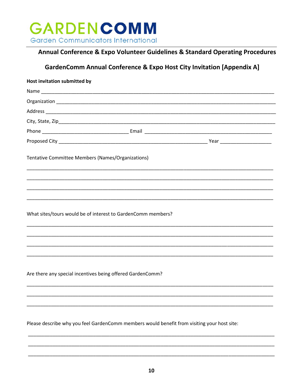

#### Annual Conference & Expo Volunteer Guidelines & Standard Operating Procedures

### GardenComm Annual Conference & Expo Host City Invitation [Appendix A]

| Host invitation submitted by                                                                |
|---------------------------------------------------------------------------------------------|
|                                                                                             |
|                                                                                             |
|                                                                                             |
|                                                                                             |
|                                                                                             |
|                                                                                             |
| Tentative Committee Members (Names/Organizations)                                           |
|                                                                                             |
|                                                                                             |
|                                                                                             |
| What sites/tours would be of interest to GardenComm members?                                |
|                                                                                             |
|                                                                                             |
| Are there any special incentives being offered GardenComm?                                  |
|                                                                                             |
|                                                                                             |
| Please describe why you feel GardenComm members would benefit from visiting your host site: |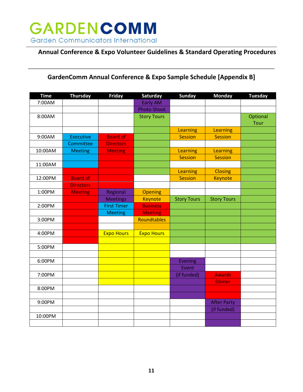

#### **Annual Conference & Expo Volunteer Guidelines & Standard Operating Procedures**

#### **GardenComm Annual Conference & Expo Sample Schedule [Appendix B]**

\_\_\_\_\_\_\_\_\_\_\_\_\_\_\_\_\_\_\_\_\_\_\_\_\_\_\_\_\_\_\_\_\_\_\_\_\_\_\_\_\_\_\_\_\_\_\_\_\_\_\_\_\_\_\_\_\_\_\_\_\_\_\_\_\_\_\_\_\_\_\_\_\_\_\_\_\_\_\_\_\_\_\_\_\_\_\_\_\_\_\_

| <b>Time</b> | <b>Thursday</b>  | <b>Friday</b>      | Saturday           | <b>Sunday</b>      | <b>Monday</b>      | <b>Tuesday</b> |
|-------------|------------------|--------------------|--------------------|--------------------|--------------------|----------------|
| 7:00AM      |                  |                    | <b>Early AM</b>    |                    |                    |                |
|             |                  |                    | <b>Photo Shoot</b> |                    |                    |                |
| 8:00AM      |                  |                    | <b>Story Tours</b> |                    |                    | Optional       |
|             |                  |                    |                    |                    |                    | Tour           |
|             |                  |                    |                    | Learning           | Learning           |                |
| 9:00AM      | <b>Executive</b> | <b>Board of</b>    |                    | <b>Session</b>     | <b>Session</b>     |                |
|             | Committee        | <b>Directors</b>   |                    |                    |                    |                |
| 10:00AM     | <b>Meeting</b>   | <b>Meeting</b>     |                    | Learning           | Learning           |                |
|             |                  |                    |                    | <b>Session</b>     | <b>Session</b>     |                |
| 11:00AM     |                  |                    |                    |                    |                    |                |
|             |                  |                    |                    | Learning           | <b>Closing</b>     |                |
| 12:00PM     | <b>Board of</b>  |                    |                    | <b>Session</b>     | <b>Keynote</b>     |                |
|             | <b>Directors</b> |                    |                    |                    |                    |                |
| 1:00PM      | <b>Meeting</b>   | Regional           | <b>Opening</b>     |                    |                    |                |
|             |                  | <b>Meetings</b>    | <b>Keynote</b>     | <b>Story Tours</b> | <b>Story Tours</b> |                |
| 2:00PM      |                  | <b>First Timer</b> | <b>Business</b>    |                    |                    |                |
|             |                  | <b>Meeting</b>     | <b>Meeting</b>     |                    |                    |                |
| 3:00PM      |                  |                    | Roundtables        |                    |                    |                |
|             |                  |                    |                    |                    |                    |                |
| 4:00PM      |                  | <b>Expo Hours</b>  | <b>Expo Hours</b>  |                    |                    |                |
|             |                  |                    |                    |                    |                    |                |
| 5:00PM      |                  |                    |                    |                    |                    |                |
|             |                  |                    |                    |                    |                    |                |
| 6:00PM      |                  |                    |                    | <b>Evening</b>     |                    |                |
|             |                  |                    |                    | Event              |                    |                |
| 7:00PM      |                  |                    |                    | (if funded)        | <b>Awards</b>      |                |
|             |                  |                    |                    |                    | <b>Dinner</b>      |                |
| 8:00PM      |                  |                    |                    |                    |                    |                |
|             |                  |                    |                    |                    |                    |                |
| 9:00PM      |                  |                    |                    |                    | <b>After Party</b> |                |
|             |                  |                    |                    |                    | (if funded)        |                |
| 10:00PM     |                  |                    |                    |                    |                    |                |
|             |                  |                    |                    |                    |                    |                |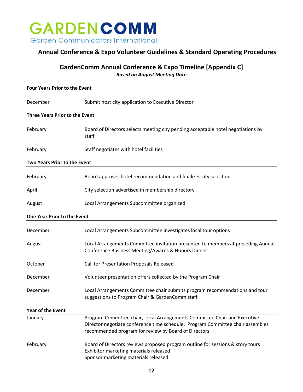

#### **Annual Conference & Expo Volunteer Guidelines & Standard Operating Procedures**

#### **GardenComm Annual Conference & Expo Timeline [Appendix C]** *Based on August Meeting Date*

| <b>Four Years Prior to the Event</b>  |                                                                                                                                                                                                                     |  |  |  |  |  |
|---------------------------------------|---------------------------------------------------------------------------------------------------------------------------------------------------------------------------------------------------------------------|--|--|--|--|--|
| December                              | Submit host city application to Executive Director                                                                                                                                                                  |  |  |  |  |  |
| <b>Three Years Prior to the Event</b> |                                                                                                                                                                                                                     |  |  |  |  |  |
| February                              | Board of Directors selects meeting city pending acceptable hotel negotiations by<br>staff                                                                                                                           |  |  |  |  |  |
| February                              | Staff negotiates with hotel facilities                                                                                                                                                                              |  |  |  |  |  |
| Two Years Prior to the Event          |                                                                                                                                                                                                                     |  |  |  |  |  |
| February                              | Board approves hotel recommendation and finalizes city selection                                                                                                                                                    |  |  |  |  |  |
| April                                 | City selection advertised in membership directory                                                                                                                                                                   |  |  |  |  |  |
| August                                | Local Arrangements Subcommittee organized                                                                                                                                                                           |  |  |  |  |  |
| One Year Prior to the Event           |                                                                                                                                                                                                                     |  |  |  |  |  |
| December                              | Local Arrangements Subcommittee investigates local tour options                                                                                                                                                     |  |  |  |  |  |
| August                                | Local Arrangements Committee invitation presented to members at preceding Annual<br>Conference Business Meeting/Awards & Honors Dinner                                                                              |  |  |  |  |  |
| October                               | Call for Presentation Proposals Released                                                                                                                                                                            |  |  |  |  |  |
| December                              | Volunteer presentation offers collected by the Program Chair                                                                                                                                                        |  |  |  |  |  |
| December                              | Local Arrangements Committee chair submits program recommendations and tour<br>suggestions to Program Chair & GardenComm staff                                                                                      |  |  |  |  |  |
| <b>Year of the Event</b>              |                                                                                                                                                                                                                     |  |  |  |  |  |
| January                               | Program Committee chair, Local Arrangements Committee Chair and Executive<br>Director negotiate conference time schedule. Program Committee chair assembles<br>recommended program for review by Board of Directors |  |  |  |  |  |
| February                              | Board of Directors reviews proposed program outline for sessions & story tours<br>Exhibitor marketing materials released<br>Sponsor marketing materials released                                                    |  |  |  |  |  |